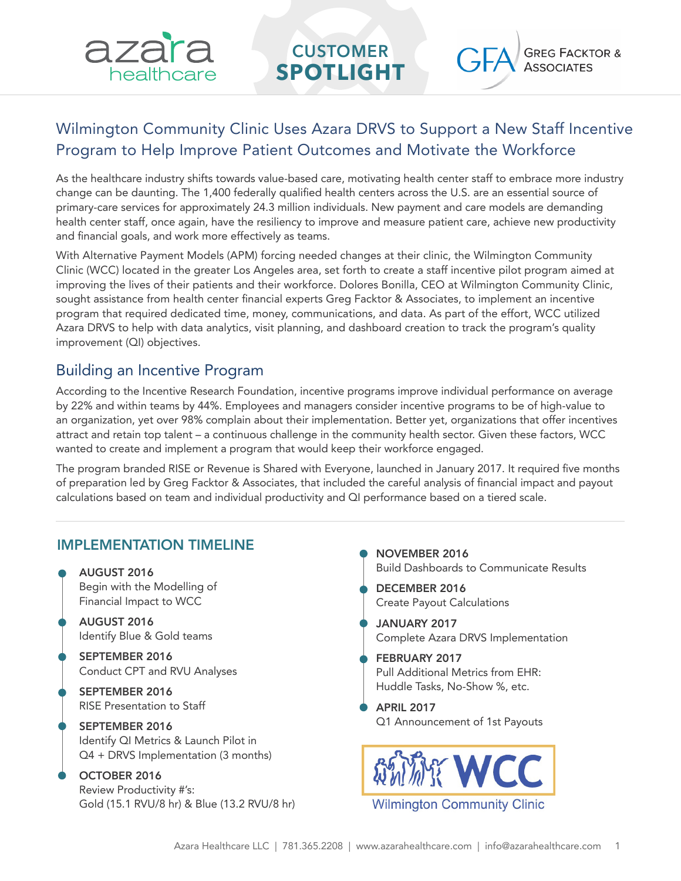

# Wilmington Community Clinic Uses Azara DRVS to Support a New Staff Incentive Program to Help Improve Patient Outcomes and Motivate the Workforce

As the healthcare industry shifts towards value-based care, motivating health center staff to embrace more industry change can be daunting. The 1,400 federally qualified health centers across the U.S. are an essential source of primary-care services for approximately 24.3 million individuals. New payment and care models are demanding health center staff, once again, have the resiliency to improve and measure patient care, achieve new productivity and financial goals, and work more effectively as teams.

With Alternative Payment Models (APM) forcing needed changes at their clinic, the Wilmington Community Clinic (WCC) located in the greater Los Angeles area, set forth to create a staff incentive pilot program aimed at improving the lives of their patients and their workforce. Dolores Bonilla, CEO at Wilmington Community Clinic, sought assistance from health center financial experts Greg Facktor & Associates, to implement an incentive program that required dedicated time, money, communications, and data. As part of the effort, WCC utilized Azara DRVS to help with data analytics, visit planning, and dashboard creation to track the program's quality improvement (QI) objectives.

## Building an Incentive Program

According to the Incentive Research Foundation, incentive programs improve individual performance on average by 22% and within teams by 44%. Employees and managers consider incentive programs to be of high-value to an organization, yet over 98% complain about their implementation. Better yet, organizations that offer incentives attract and retain top talent – a continuous challenge in the community health sector. Given these factors, WCC wanted to create and implement a program that would keep their workforce engaged.

The program branded RISE or Revenue is Shared with Everyone, launched in January 2017. It required five months of preparation led by Greg Facktor & Associates, that included the careful analysis of financial impact and payout calculations based on team and individual productivity and QI performance based on a tiered scale.

### IMPLEMENTATION TIMELINE

- AUGUST 2016 Begin with the Modelling of Financial Impact to WCC AUGUST 2016 Identify Blue & Gold teams
	- SEPTEMBER 2016 Conduct CPT and RVU Analyses
	- SEPTEMBER 2016 RISE Presentation to Staff
	- SEPTEMBER 2016 Identify QI Metrics & Launch Pilot in Q4 + DRVS Implementation (3 months)
	- OCTOBER 2016 Review Productivity #'s: Gold (15.1 RVU/8 hr) & Blue (13.2 RVU/8 hr)
- NOVEMBER 2016 Build Dashboards to Communicate Results DECEMBER 2016 Create Payout Calculations JANUARY 2017 Complete Azara DRVS Implementation FEBRUARY 2017 Pull Additional Metrics from EHR: Huddle Tasks, No-Show %, etc. APRIL 2017 Q1 Announcement of 1st Payouts

**Wilmington Community Clinic**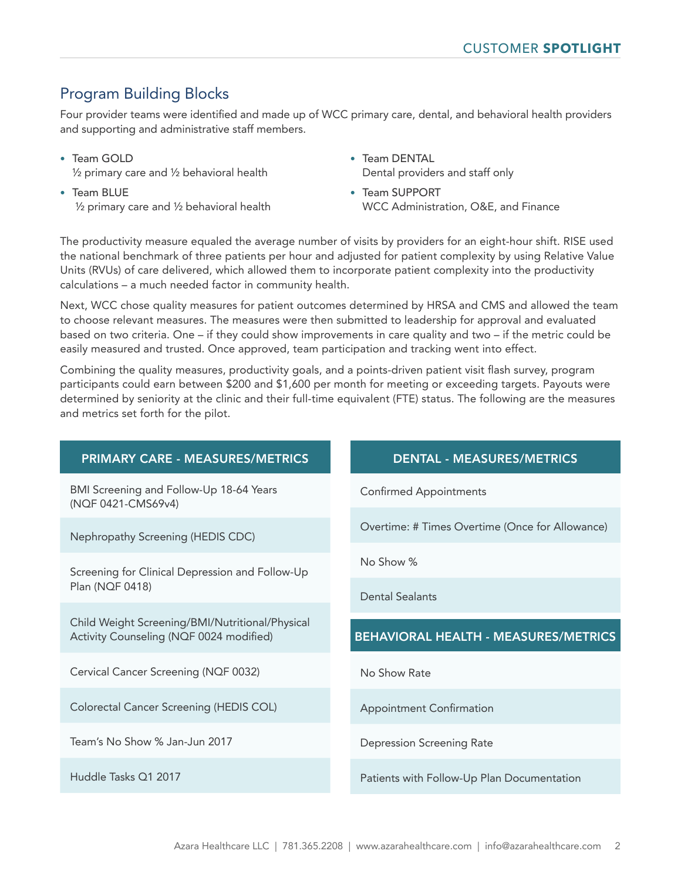# Program Building Blocks

Four provider teams were identified and made up of WCC primary care, dental, and behavioral health providers and supporting and administrative staff members.

- Team GOLD ½ primary care and ½ behavioral health
- Team BLUE ½ primary care and ½ behavioral health
- Team DENTAL Dental providers and staff only
- Team SUPPORT WCC Administration, O&E, and Finance

The productivity measure equaled the average number of visits by providers for an eight-hour shift. RISE used the national benchmark of three patients per hour and adjusted for patient complexity by using Relative Value Units (RVUs) of care delivered, which allowed them to incorporate patient complexity into the productivity calculations – a much needed factor in community health.

Next, WCC chose quality measures for patient outcomes determined by HRSA and CMS and allowed the team to choose relevant measures. The measures were then submitted to leadership for approval and evaluated based on two criteria. One – if they could show improvements in care quality and two – if the metric could be easily measured and trusted. Once approved, team participation and tracking went into effect.

Combining the quality measures, productivity goals, and a points-driven patient visit flash survey, program participants could earn between \$200 and \$1,600 per month for meeting or exceeding targets. Payouts were determined by seniority at the clinic and their full-time equivalent (FTE) status. The following are the measures and metrics set forth for the pilot.

### PRIMARY CARE - MEASURES/METRICS DENTAL - MEASURES/METRICS

BMI Screening and Follow-Up 18-64 Years (NQF 0421-CMS69v4)

Nephropathy Screening (HEDIS CDC)

Screening for Clinical Depression and Follow-Up Plan (NQF 0418)

Child Weight Screening/BMI/Nutritional/Physical Activity Counseling (NQF 0024 modified)

Cervical Cancer Screening (NQF 0032)

Colorectal Cancer Screening (HEDIS COL)

Team's No Show % Jan-Jun 2017

Huddle Tasks Q1 2017

Confirmed Appointments

Overtime: # Times Overtime (Once for Allowance)

No Show %

Dental Sealants

### BEHAVIORAL HEALTH - MEASURES/METRICS

No Show Rate

Appointment Confirmation

Depression Screening Rate

Patients with Follow-Up Plan Documentation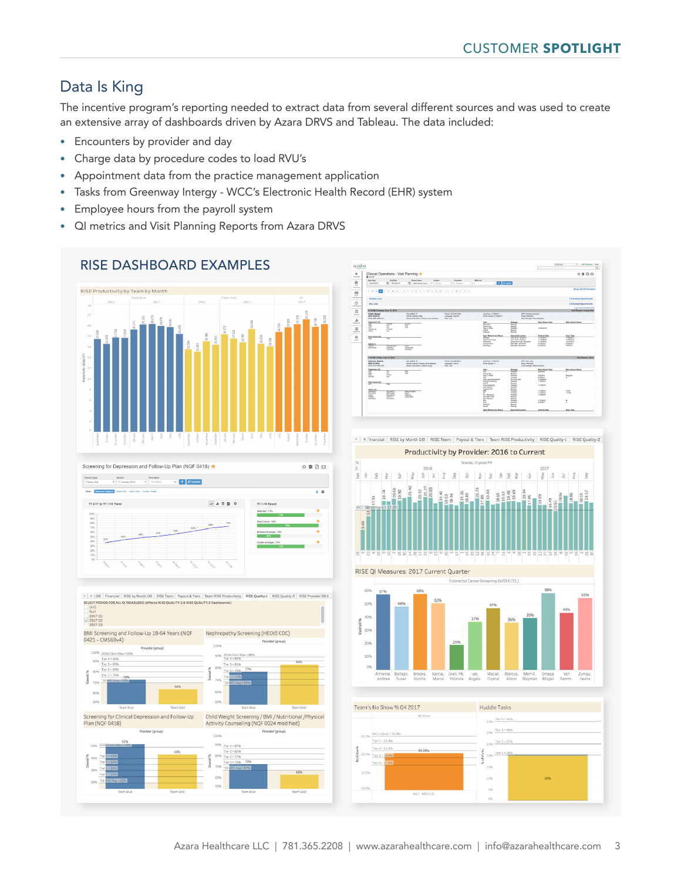# Data Is King

The incentive program's reporting needed to extract data from several different sources and was used to create an extensive array of dashboards driven by Azara DRVS and Tableau. The data included:

- Encounters by provider and day
- Charge data by procedure codes to load RVU's
- Appointment data from the practice management application
- Tasks from Greenway Intergy WCC's Electronic Health Record (EHR) system
- Employee hours from the payroll system
- QI metrics and Visit Planning Reports from Azara DRVS







v < Financial RISE by Month DB | RISE Team | Payout & Tiers | Team RISE Productivity | RISE Quality-1 | RISE Quality-2









. C DR Financial RISE by Month DR RISE Team Payout & Tiers Team RISE P SELECT PERI<br>
(All)<br>
Null<br>
2017 Q1<br>
2017 Q2<br>
2017 Q3 BMI Screening and Follow-Up 18-64 Years (NQF Nephropathy Screening (HEDIS CDC) 0421 - CMS69v4)

90% 2016 Clinic